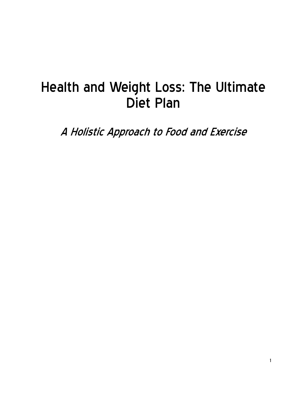## Health and Weight Loss: The Ultimate **Diet Plan**

A Holistic Approach to Food and Exercise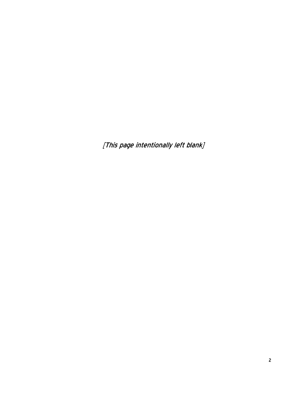[This page intentionally left blank]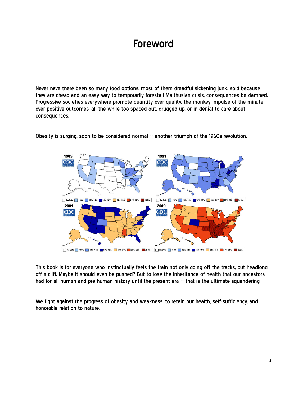#### Foreword

Never have there been so many food options, most of them dreadful sickening junk, sold because they are cheap and an easy way to temporarily forestall Malthusian crisis, consequences be damned. Progressive societies everywhere promote quantity over quality, the monkey impulse of the minute over positive outcomes, all the while too spaced out, drugged up, or in denial to care about consequences.



Obesity is surging, soon to be considered normal -- another triumph of the 1960s revolution.

This book is for everyone who instinctually feels the train not only going off the tracks, but headlong off a cliff. Maybe it should even be pushed? But to lose the inheritance of health that our ancestors had for all human and pre-human history until the present era -- that is the ultimate squandering.

We fight against the progress of obesity and weakness, to retain our health, self-sufficiency, and honorable relation to nature.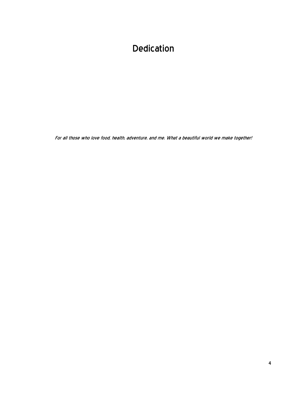#### **Dedication**

For all those who love food, health, adventure, and me. What a beautiful world we make together!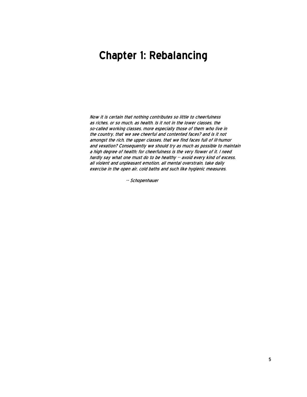#### **Chapter 1: Rebalancing**

Now it is certain that nothing contributes so little to cheerfulness as riches, or so much, as health. Is it not in the lower classes, the so-called working classes, more especially those of them who live in the country, that we see cheerful and contented faces? and is it not amongst the rich, the upper classes, that we find faces full of ill-humor and vexation? Consequently we should try as much as possible to maintain a high degree of health; for cheerfulness is the very flower of it. I need hardly say what one must do to be healthy -- avoid every kind of excess, all violent and unpleasant emotion, all mental overstrain, take daily exercise in the open air, cold baths and such like hygienic measures.

-- Schopenhauer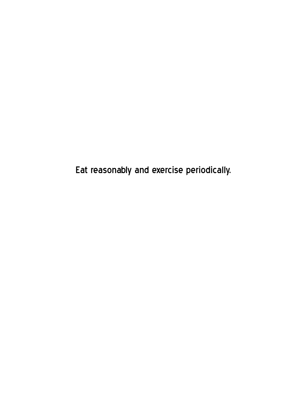Eat reasonably and exercise periodically.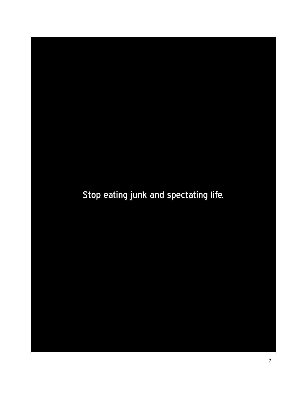### Stop eating junk and spectating life.